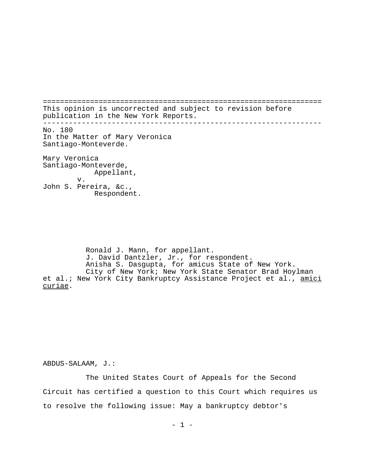================================================================= This opinion is uncorrected and subject to revision before publication in the New York Reports. ----------------------------------------------------------------- No. 180 In the Matter of Mary Veronica Santiago-Monteverde. Mary Veronica Santiago-Monteverde, Appellant, v. John S. Pereira, &c., Respondent.

Ronald J. Mann, for appellant. J. David Dantzler, Jr., for respondent. Anisha S. Dasgupta, for amicus State of New York. City of New York; New York State Senator Brad Hoylman et al.; New York City Bankruptcy Assistance Project et al., amici curiae.

ABDUS-SALAAM, J.:

The United States Court of Appeals for the Second Circuit has certified a question to this Court which requires us to resolve the following issue: May a bankruptcy debtor's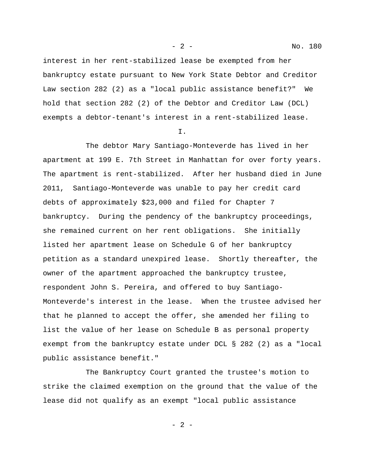interest in her rent-stabilized lease be exempted from her bankruptcy estate pursuant to New York State Debtor and Creditor Law section 282 (2) as a "local public assistance benefit?" We hold that section 282 (2) of the Debtor and Creditor Law (DCL) exempts a debtor-tenant's interest in a rent-stabilized lease.

I.

The debtor Mary Santiago-Monteverde has lived in her apartment at 199 E. 7th Street in Manhattan for over forty years. The apartment is rent-stabilized. After her husband died in June 2011, Santiago-Monteverde was unable to pay her credit card debts of approximately \$23,000 and filed for Chapter 7 bankruptcy. During the pendency of the bankruptcy proceedings, she remained current on her rent obligations. She initially listed her apartment lease on Schedule G of her bankruptcy petition as a standard unexpired lease. Shortly thereafter, the owner of the apartment approached the bankruptcy trustee, respondent John S. Pereira, and offered to buy Santiago-Monteverde's interest in the lease. When the trustee advised her that he planned to accept the offer, she amended her filing to list the value of her lease on Schedule B as personal property exempt from the bankruptcy estate under DCL § 282 (2) as a "local public assistance benefit."

The Bankruptcy Court granted the trustee's motion to strike the claimed exemption on the ground that the value of the lease did not qualify as an exempt "local public assistance

- 2 -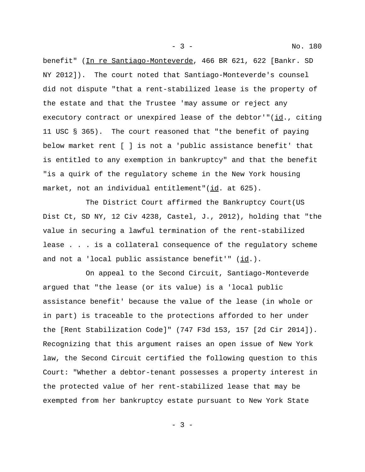benefit" (In re Santiago-Monteverde, 466 BR 621, 622 [Bankr. SD NY 2012]). The court noted that Santiago-Monteverde's counsel did not dispute "that a rent-stabilized lease is the property of the estate and that the Trustee 'may assume or reject any executory contract or unexpired lease of the debtor'"(id., citing 11 USC § 365). The court reasoned that "the benefit of paying below market rent [ ] is not a 'public assistance benefit' that is entitled to any exemption in bankruptcy" and that the benefit "is a quirk of the regulatory scheme in the New York housing market, not an individual entitlement"(id. at 625).

The District Court affirmed the Bankruptcy Court(US Dist Ct, SD NY, 12 Civ 4238, Castel, J., 2012), holding that "the value in securing a lawful termination of the rent-stabilized lease . . . is a collateral consequence of the regulatory scheme and not a 'local public assistance benefit'" (id.).

On appeal to the Second Circuit, Santiago-Monteverde argued that "the lease (or its value) is a 'local public assistance benefit' because the value of the lease (in whole or in part) is traceable to the protections afforded to her under the [Rent Stabilization Code]" (747 F3d 153, 157 [2d Cir 2014]). Recognizing that this argument raises an open issue of New York law, the Second Circuit certified the following question to this Court: "Whether a debtor-tenant possesses a property interest in the protected value of her rent-stabilized lease that may be exempted from her bankruptcy estate pursuant to New York State

- 3 -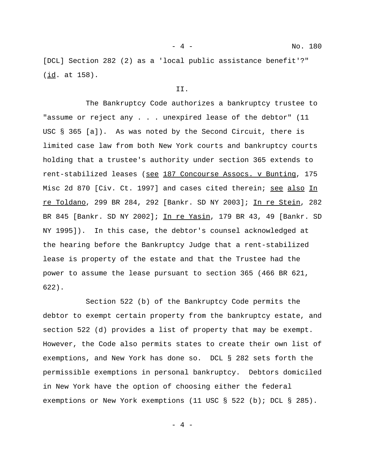[DCL] Section 282 (2) as a 'local public assistance benefit'?" (id. at 158).

## II.

The Bankruptcy Code authorizes a bankruptcy trustee to "assume or reject any . . . unexpired lease of the debtor" (11 USC § 365 [a]). As was noted by the Second Circuit, there is limited case law from both New York courts and bankruptcy courts holding that a trustee's authority under section 365 extends to rent-stabilized leases (see 187 Concourse Assocs. v Bunting, 175 Misc 2d 870 [Civ. Ct. 1997] and cases cited therein; see also In re Toldano, 299 BR 284, 292 [Bankr. SD NY 2003]; In re Stein, 282 BR 845 [Bankr. SD NY 2002]; In re Yasin, 179 BR 43, 49 [Bankr. SD NY 1995]). In this case, the debtor's counsel acknowledged at the hearing before the Bankruptcy Judge that a rent-stabilized lease is property of the estate and that the Trustee had the power to assume the lease pursuant to section 365 (466 BR 621, 622).

Section 522 (b) of the Bankruptcy Code permits the debtor to exempt certain property from the bankruptcy estate, and section 522 (d) provides a list of property that may be exempt. However, the Code also permits states to create their own list of exemptions, and New York has done so. DCL § 282 sets forth the permissible exemptions in personal bankruptcy. Debtors domiciled in New York have the option of choosing either the federal exemptions or New York exemptions (11 USC § 522 (b); DCL § 285).

 $-4 -$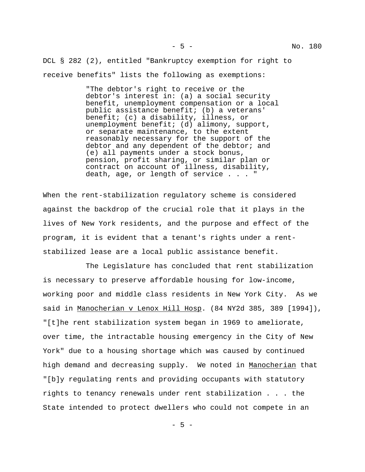DCL § 282 (2), entitled "Bankruptcy exemption for right to receive benefits" lists the following as exemptions:

> "The debtor's right to receive or the debtor's interest in: (a) a social security benefit, unemployment compensation or a local public assistance benefit; (b) a veterans' benefit; (c) a disability, illness, or unemployment benefit; (d) alimony, support, or separate maintenance, to the extent reasonably necessary for the support of the debtor and any dependent of the debtor; and (e) all payments under a stock bonus, pension, profit sharing, or similar plan or contract on account of illness, disability, death, age, or length of service . . . "

When the rent-stabilization regulatory scheme is considered against the backdrop of the crucial role that it plays in the lives of New York residents, and the purpose and effect of the program, it is evident that a tenant's rights under a rentstabilized lease are a local public assistance benefit.

The Legislature has concluded that rent stabilization is necessary to preserve affordable housing for low-income, working poor and middle class residents in New York City. As we said in Manocherian v Lenox Hill Hosp. (84 NY2d 385, 389 [1994]), "[t]he rent stabilization system began in 1969 to ameliorate, over time, the intractable housing emergency in the City of New York" due to a housing shortage which was caused by continued high demand and decreasing supply. We noted in Manocherian that "[b]y regulating rents and providing occupants with statutory rights to tenancy renewals under rent stabilization . . . the State intended to protect dwellers who could not compete in an

 $-5 -$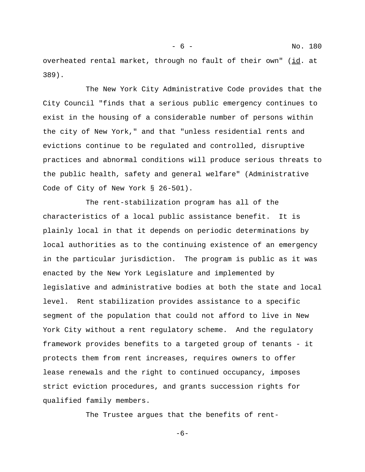overheated rental market, through no fault of their own" (id. at 389).

The New York City Administrative Code provides that the City Council "finds that a serious public emergency continues to exist in the housing of a considerable number of persons within the city of New York," and that "unless residential rents and evictions continue to be regulated and controlled, disruptive practices and abnormal conditions will produce serious threats to the public health, safety and general welfare" (Administrative Code of City of New York § 26-501).

The rent-stabilization program has all of the characteristics of a local public assistance benefit. It is plainly local in that it depends on periodic determinations by local authorities as to the continuing existence of an emergency in the particular jurisdiction. The program is public as it was enacted by the New York Legislature and implemented by legislative and administrative bodies at both the state and local level. Rent stabilization provides assistance to a specific segment of the population that could not afford to live in New York City without a rent regulatory scheme. And the regulatory framework provides benefits to a targeted group of tenants - it protects them from rent increases, requires owners to offer lease renewals and the right to continued occupancy, imposes strict eviction procedures, and grants succession rights for qualified family members.

The Trustee argues that the benefits of rent-

 $-6-$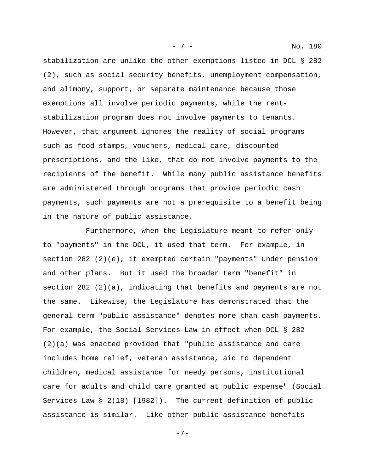stabilization are unlike the other exemptions listed in DCL § 282 (2), such as social security benefits, unemployment compensation, and alimony, support, or separate maintenance because those exemptions all involve periodic payments, while the rentstabilization program does not involve payments to tenants. However, that argument ignores the reality of social programs such as food stamps, vouchers, medical care, discounted prescriptions, and the like, that do not involve payments to the recipients of the benefit. While many public assistance benefits are administered through programs that provide periodic cash payments, such payments are not a prerequisite to a benefit being in the nature of public assistance.

Furthermore, when the Legislature meant to refer only to "payments" in the DCL, it used that term. For example, in section 282 (2)(e), it exempted certain "payments" under pension and other plans. But it used the broader term "benefit" in section  $282$  (2)(a), indicating that benefits and payments are not the same. Likewise, the Legislature has demonstrated that the general term "public assistance" denotes more than cash payments. For example, the Social Services Law in effect when DCL § 282 (2)(a) was enacted provided that "public assistance and care includes home relief, veteran assistance, aid to dependent children, medical assistance for needy persons, institutional care for adults and child care granted at public expense" (Social Services Law § 2(18) [1982]). The current definition of public assistance is similar. Like other public assistance benefits

-7-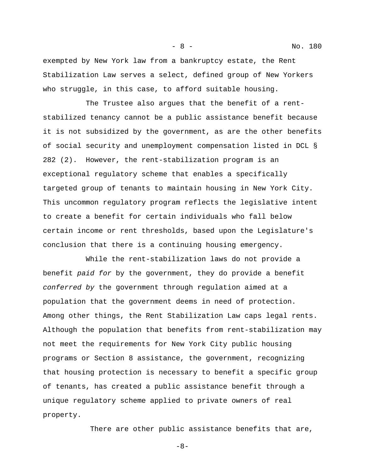exempted by New York law from a bankruptcy estate, the Rent Stabilization Law serves a select, defined group of New Yorkers who struggle, in this case, to afford suitable housing.

The Trustee also argues that the benefit of a rentstabilized tenancy cannot be a public assistance benefit because it is not subsidized by the government, as are the other benefits of social security and unemployment compensation listed in DCL § 282 (2). However, the rent-stabilization program is an exceptional regulatory scheme that enables a specifically targeted group of tenants to maintain housing in New York City. This uncommon regulatory program reflects the legislative intent to create a benefit for certain individuals who fall below certain income or rent thresholds, based upon the Legislature's conclusion that there is a continuing housing emergency.

While the rent-stabilization laws do not provide a benefit *paid for* by the government, they do provide a benefit *conferred by* the government through regulation aimed at a population that the government deems in need of protection. Among other things, the Rent Stabilization Law caps legal rents. Although the population that benefits from rent-stabilization may not meet the requirements for New York City public housing programs or Section 8 assistance, the government, recognizing that housing protection is necessary to benefit a specific group of tenants, has created a public assistance benefit through a unique regulatory scheme applied to private owners of real property.

There are other public assistance benefits that are,

-8-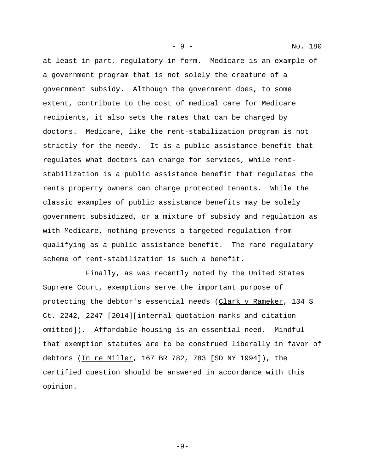at least in part, regulatory in form. Medicare is an example of a government program that is not solely the creature of a government subsidy. Although the government does, to some extent, contribute to the cost of medical care for Medicare recipients, it also sets the rates that can be charged by doctors. Medicare, like the rent-stabilization program is not strictly for the needy. It is a public assistance benefit that regulates what doctors can charge for services, while rentstabilization is a public assistance benefit that regulates the rents property owners can charge protected tenants. While the classic examples of public assistance benefits may be solely government subsidized, or a mixture of subsidy and regulation as with Medicare, nothing prevents a targeted regulation from qualifying as a public assistance benefit. The rare regulatory scheme of rent-stabilization is such a benefit.

Finally, as was recently noted by the United States Supreme Court, exemptions serve the important purpose of protecting the debtor's essential needs (Clark v Rameker, 134 S Ct. 2242, 2247 [2014][internal quotation marks and citation omitted]). Affordable housing is an essential need. Mindful that exemption statutes are to be construed liberally in favor of debtors (In re Miller, 167 BR 782, 783 [SD NY 1994]), the certified question should be answered in accordance with this opinion.

- 9 - No. 180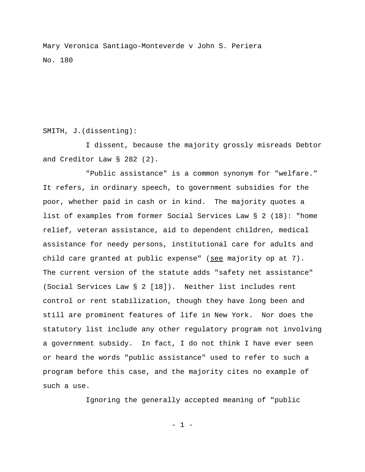Mary Veronica Santiago-Monteverde v John S. Periera No. 180

## SMITH, J.(dissenting):

I dissent, because the majority grossly misreads Debtor and Creditor Law § 282 (2).

"Public assistance" is a common synonym for "welfare." It refers, in ordinary speech, to government subsidies for the poor, whether paid in cash or in kind. The majority quotes a list of examples from former Social Services Law § 2 (18): "home relief, veteran assistance, aid to dependent children, medical assistance for needy persons, institutional care for adults and child care granted at public expense" (see majority op at 7). The current version of the statute adds "safety net assistance" (Social Services Law § 2 [18]). Neither list includes rent control or rent stabilization, though they have long been and still are prominent features of life in New York. Nor does the statutory list include any other regulatory program not involving a government subsidy. In fact, I do not think I have ever seen or heard the words "public assistance" used to refer to such a program before this case, and the majority cites no example of such a use.

Ignoring the generally accepted meaning of "public

- 1 -